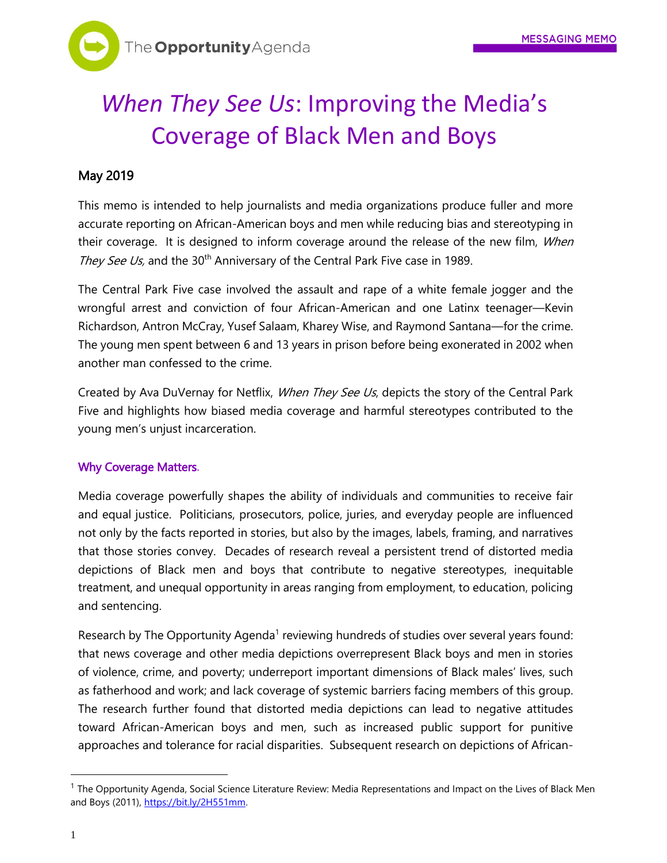# *When They See Us*: Improving the Media's Coverage of Black Men and Boys

## May 2019

This memo is intended to help journalists and media organizations produce fuller and more accurate reporting on African-American boys and men while reducing bias and stereotyping in their coverage. It is designed to inform coverage around the release of the new film, When They See Us, and the 30<sup>th</sup> Anniversary of the Central Park Five case in 1989.

The Central Park Five case involved the assault and rape of a white female jogger and the wrongful arrest and conviction of four African-American and one Latinx teenager—Kevin Richardson, Antron McCray, Yusef Salaam, Kharey Wise, and Raymond Santana—for the crime. The young men spent between 6 and 13 years in prison before being exonerated in 2002 when another man confessed to the crime.

Created by Ava DuVernay for Netflix, *When They See Us*, depicts the story of the Central Park Five and highlights how biased media coverage and harmful stereotypes contributed to the young men's unjust incarceration.

### Why Coverage Matters.

Media coverage powerfully shapes the ability of individuals and communities to receive fair and equal justice. Politicians, prosecutors, police, juries, and everyday people are influenced not only by the facts reported in stories, but also by the images, labels, framing, and narratives that those stories convey. Decades of research reveal a persistent trend of distorted media depictions of Black men and boys that contribute to negative stereotypes, inequitable treatment, and unequal opportunity in areas ranging from employment, to education, policing and sentencing.

Research by The Opportunity Agenda<sup>1</sup> reviewing hundreds of studies over several years found: that news coverage and other media depictions overrepresent Black boys and men in stories of violence, crime, and poverty; underreport important dimensions of Black males' lives, such as fatherhood and work; and lack coverage of systemic barriers facing members of this group. The research further found that distorted media depictions can lead to negative attitudes toward African-American boys and men, such as increased public support for punitive approaches and tolerance for racial disparities. Subsequent research on depictions of African-

 $\overline{a}$ 

 $^1$  The Opportunity Agenda, Social Science Literature Review: Media Representations and Impact on the Lives of Black Men and Boys (2011), https://bit.ly/2H551mm.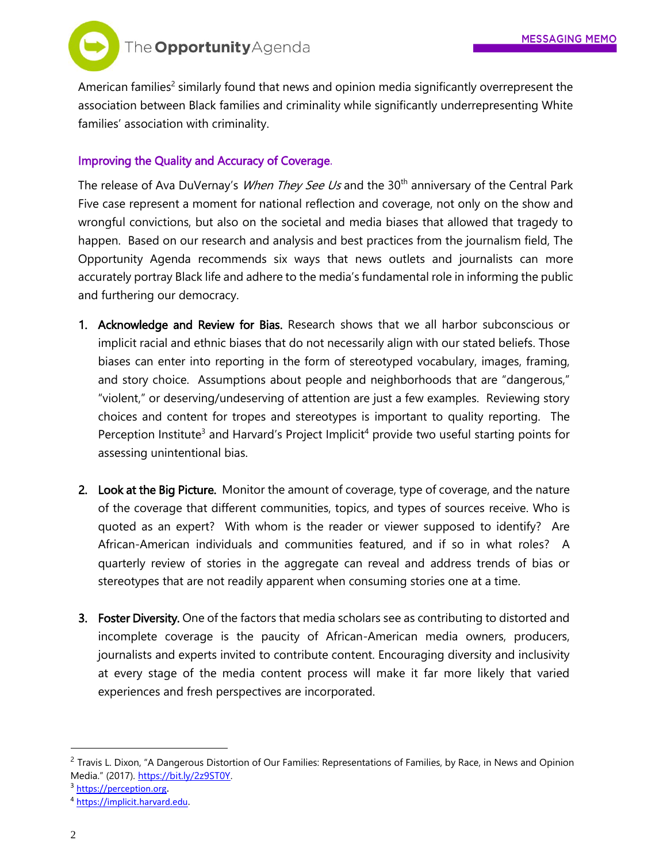

American families<sup>2</sup> similarly found that news and opinion media significantly overrepresent the association between Black families and criminality while significantly underrepresenting White families' association with criminality.

#### Improving the Quality and Accuracy of Coverage.

The release of Ava DuVernay's *When They See Us* and the 30<sup>th</sup> anniversary of the Central Park Five case represent a moment for national reflection and coverage, not only on the show and wrongful convictions, but also on the societal and media biases that allowed that tragedy to happen. Based on our research and analysis and best practices from the journalism field, The Opportunity Agenda recommends six ways that news outlets and journalists can more accurately portray Black life and adhere to the media's fundamental role in informing the public and furthering our democracy.

- 1. Acknowledge and Review for Bias. Research shows that we all harbor subconscious or implicit racial and ethnic biases that do not necessarily align with our stated beliefs. Those biases can enter into reporting in the form of stereotyped vocabulary, images, framing, and story choice. Assumptions about people and neighborhoods that are "dangerous," "violent," or deserving/undeserving of attention are just a few examples. Reviewing story choices and content for tropes and stereotypes is important to quality reporting. The Perception Institute<sup>3</sup> and Harvard's Project Implicit<sup>4</sup> provide two useful starting points for assessing unintentional bias.
- 2. Look at the Big Picture. Monitor the amount of coverage, type of coverage, and the nature of the coverage that different communities, topics, and types of sources receive. Who is quoted as an expert? With whom is the reader or viewer supposed to identify? Are African-American individuals and communities featured, and if so in what roles? A quarterly review of stories in the aggregate can reveal and address trends of bias or stereotypes that are not readily apparent when consuming stories one at a time.
- 3. Foster Diversity. One of the factors that media scholars see as contributing to distorted and incomplete coverage is the paucity of African-American media owners, producers, journalists and experts invited to contribute content. Encouraging diversity and inclusivity at every stage of the media content process will make it far more likely that varied experiences and fresh perspectives are incorporated.

 $\overline{a}$ 

<sup>&</sup>lt;sup>2</sup> Travis L. Dixon, "A Dangerous Distortion of Our Families: Representations of Families, by Race, in News and Opinion Media." (2017). [https://bit.ly/2z9ST0Y.](https://bit.ly/2z9ST0Y) 

<sup>3</sup> [https://perception.org](https://perception.org/).

<sup>4</sup> [https://implicit.harvard.edu.](https://implicit.harvard.edu/)